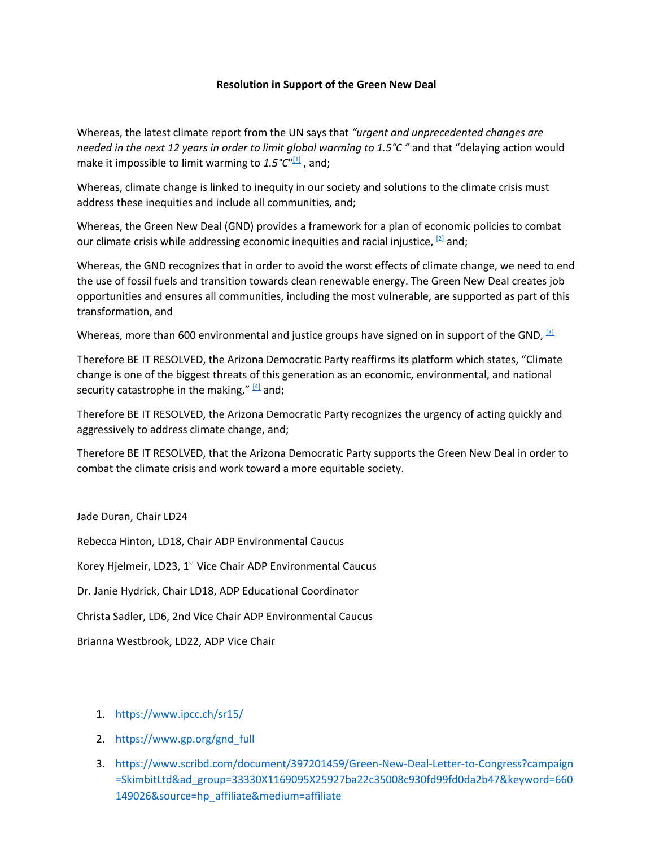## **Resolution in Support of the Green New Deal**

Whereas, the latest climate report from the UN says that *"urgent and unprecedented changes are needed in the next 12 years in order to limit global warming to 1.5°C "* and that "delaying action would make it impossible to limit warming to 1.5°C"<sup>[\[1\]](https://www.ipcc.ch/sr15/)</sup>, and;

Whereas, climate change is linked to inequity in our society and solutions to the climate crisis must address these inequities and include all communities, and;

Whereas, the Green New Deal (GND) provides a framework for a plan of economic policies to combat our climate crisis while addressing economic inequities and racial injustice,  $^{[2]}$  $^{[2]}$  $^{[2]}$  and;

Whereas, the GND recognizes that in order to avoid the worst effects of climate change, we need to end the use of fossil fuels and transition towards clean renewable energy. The Green New Deal creates job opportunities and ensures all communities, including the most vulnerable, are supported as part of this transformation, and

Whereas, more than 600 environmental and justice groups have signed on in support of the GND,  $^{\text{3}}$ 

Therefore BE IT RESOLVED, the Arizona Democratic Party reaffirms its platform which states, "Climate change is one of the biggest threats of this generation as an economic, environmental, and national security catastrophe in the making," [\[4\]](https://www.azdem.org/wp-content/uploads/2018/07/2015-16-ADP-Platform.pdf) and;

Therefore BE IT RESOLVED, the Arizona Democratic Party recognizes the urgency of acting quickly and aggressively to address climate change, and;

Therefore BE IT RESOLVED, that the Arizona Democratic Party supports the Green New Deal in order to combat the climate crisis and work toward a more equitable society.

Jade Duran, Chair LD24

Rebecca Hinton, LD18, Chair ADP Environmental Caucus Korey Hjelmeir, LD23, 1<sup>st</sup> Vice Chair ADP Environmental Caucus Dr. Janie Hydrick, Chair LD18, ADP Educational Coordinator

Christa Sadler, LD6, 2nd Vice Chair ADP Environmental Caucus

Brianna Westbrook, LD22, ADP Vice Chair

- 1. <https://www.ipcc.ch/sr15/>
- 2. [https://www.gp.org/gnd\\_full](https://www.gp.org/gnd_full)
- 3. [https://www.scribd.com/document/397201459/Green-New-Deal-Letter-to-Congress?campaign](https://www.scribd.com/document/397201459/Green-New-Deal-Letter-to-Congress?campaign=SkimbitLtd&ad_group=33330X1169095X25927ba22c35008c930fd99fd0da2b47&keyword=660149026&source=hp_affiliate&medium=affiliate) [=SkimbitLtd&ad\\_group=33330X1169095X25927ba22c35008c930fd99fd0da2b47&keyword=660](https://www.scribd.com/document/397201459/Green-New-Deal-Letter-to-Congress?campaign=SkimbitLtd&ad_group=33330X1169095X25927ba22c35008c930fd99fd0da2b47&keyword=660149026&source=hp_affiliate&medium=affiliate) [149026&source=hp\\_affiliate&medium=affiliate](https://www.scribd.com/document/397201459/Green-New-Deal-Letter-to-Congress?campaign=SkimbitLtd&ad_group=33330X1169095X25927ba22c35008c930fd99fd0da2b47&keyword=660149026&source=hp_affiliate&medium=affiliate)